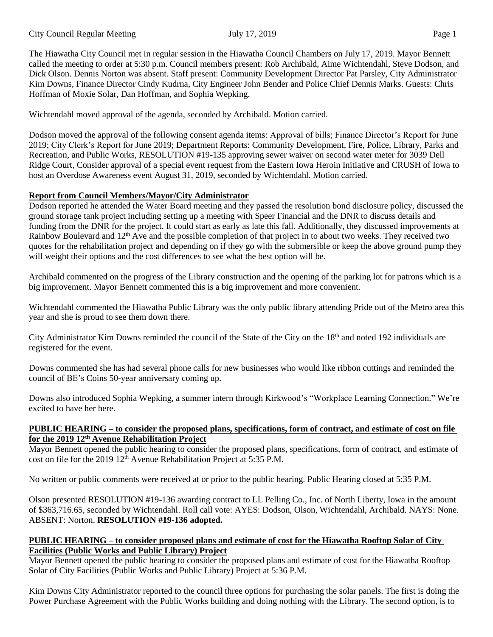The Hiawatha City Council met in regular session in the Hiawatha Council Chambers on July 17, 2019. Mayor Bennett called the meeting to order at 5:30 p.m. Council members present: Rob Archibald, Aime Wichtendahl, Steve Dodson, and Dick Olson. Dennis Norton was absent. Staff present: Community Development Director Pat Parsley, City Administrator Kim Downs, Finance Director Cindy Kudrna, City Engineer John Bender and Police Chief Dennis Marks. Guests: Chris Hoffman of Moxie Solar, Dan Hoffman, and Sophia Wepking.

Wichtendahl moved approval of the agenda, seconded by Archibald. Motion carried.

Dodson moved the approval of the following consent agenda items: Approval of bills; Finance Director's Report for June 2019; City Clerk's Report for June 2019; Department Reports: Community Development, Fire, Police, Library, Parks and Recreation, and Public Works, RESOLUTION #19-135 approving sewer waiver on second water meter for 3039 Dell Ridge Court, Consider approval of a special event request from the Eastern Iowa Heroin Initiative and CRUSH of Iowa to host an Overdose Awareness event August 31, 2019, seconded by Wichtendahl. Motion carried.

## **Report from Council Members/Mayor/City Administrator**

Dodson reported he attended the Water Board meeting and they passed the resolution bond disclosure policy, discussed the ground storage tank project including setting up a meeting with Speer Financial and the DNR to discuss details and funding from the DNR for the project. It could start as early as late this fall. Additionally, they discussed improvements at Rainbow Boulevard and 12<sup>th</sup> Ave and the possible completion of that project in to about two weeks. They received two quotes for the rehabilitation project and depending on if they go with the submersible or keep the above ground pump they will weight their options and the cost differences to see what the best option will be.

Archibald commented on the progress of the Library construction and the opening of the parking lot for patrons which is a big improvement. Mayor Bennett commented this is a big improvement and more convenient.

Wichtendahl commented the Hiawatha Public Library was the only public library attending Pride out of the Metro area this year and she is proud to see them down there.

City Administrator Kim Downs reminded the council of the State of the City on the 18<sup>th</sup> and noted 192 individuals are registered for the event.

Downs commented she has had several phone calls for new businesses who would like ribbon cuttings and reminded the council of BE's Coins 50-year anniversary coming up.

Downs also introduced Sophia Wepking, a summer intern through Kirkwood's "Workplace Learning Connection." We're excited to have her here.

#### **PUBLIC HEARING – to consider the proposed plans, specifications, form of contract, and estimate of cost on file for the 2019 12th Avenue Rehabilitation Project**

Mayor Bennett opened the public hearing to consider the proposed plans, specifications, form of contract, and estimate of cost on file for the 2019 12<sup>th</sup> Avenue Rehabilitation Project at 5:35 P.M.

No written or public comments were received at or prior to the public hearing. Public Hearing closed at 5:35 P.M.

Olson presented RESOLUTION #19-136 awarding contract to LL Pelling Co., Inc. of North Liberty, Iowa in the amount of \$363,716.65, seconded by Wichtendahl. Roll call vote: AYES: Dodson, Olson, Wichtendahl, Archibald. NAYS: None. ABSENT: Norton. **RESOLUTION #19-136 adopted.**

#### PUBLIC HEARING – to consider proposed plans and estimate of cost for the Hiawatha Rooftop Solar of City **Facilities (Public Works and Public Library) Project**

Mayor Bennett opened the public hearing to consider the proposed plans and estimate of cost for the Hiawatha Rooftop Solar of City Facilities (Public Works and Public Library) Project at 5:36 P.M.

Kim Downs City Administrator reported to the council three options for purchasing the solar panels. The first is doing the Power Purchase Agreement with the Public Works building and doing nothing with the Library. The second option, is to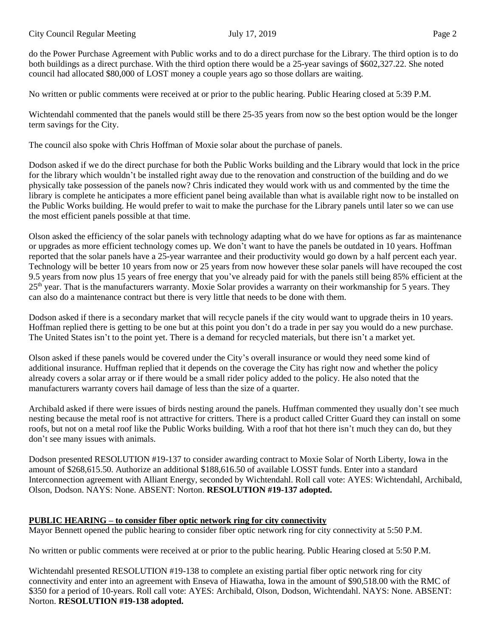do the Power Purchase Agreement with Public works and to do a direct purchase for the Library. The third option is to do both buildings as a direct purchase. With the third option there would be a 25-year savings of \$602,327.22. She noted council had allocated \$80,000 of LOST money a couple years ago so those dollars are waiting.

No written or public comments were received at or prior to the public hearing. Public Hearing closed at 5:39 P.M.

Wichtendahl commented that the panels would still be there 25-35 years from now so the best option would be the longer term savings for the City.

The council also spoke with Chris Hoffman of Moxie solar about the purchase of panels.

Dodson asked if we do the direct purchase for both the Public Works building and the Library would that lock in the price for the library which wouldn't be installed right away due to the renovation and construction of the building and do we physically take possession of the panels now? Chris indicated they would work with us and commented by the time the library is complete he anticipates a more efficient panel being available than what is available right now to be installed on the Public Works building. He would prefer to wait to make the purchase for the Library panels until later so we can use the most efficient panels possible at that time.

Olson asked the efficiency of the solar panels with technology adapting what do we have for options as far as maintenance or upgrades as more efficient technology comes up. We don't want to have the panels be outdated in 10 years. Hoffman reported that the solar panels have a 25-year warrantee and their productivity would go down by a half percent each year. Technology will be better 10 years from now or 25 years from now however these solar panels will have recouped the cost 9.5 years from now plus 15 years of free energy that you've already paid for with the panels still being 85% efficient at the 25<sup>th</sup> year. That is the manufacturers warranty. Moxie Solar provides a warranty on their workmanship for 5 years. They can also do a maintenance contract but there is very little that needs to be done with them.

Dodson asked if there is a secondary market that will recycle panels if the city would want to upgrade theirs in 10 years. Hoffman replied there is getting to be one but at this point you don't do a trade in per say you would do a new purchase. The United States isn't to the point yet. There is a demand for recycled materials, but there isn't a market yet.

Olson asked if these panels would be covered under the City's overall insurance or would they need some kind of additional insurance. Huffman replied that it depends on the coverage the City has right now and whether the policy already covers a solar array or if there would be a small rider policy added to the policy. He also noted that the manufacturers warranty covers hail damage of less than the size of a quarter.

Archibald asked if there were issues of birds nesting around the panels. Huffman commented they usually don't see much nesting because the metal roof is not attractive for critters. There is a product called Critter Guard they can install on some roofs, but not on a metal roof like the Public Works building. With a roof that hot there isn't much they can do, but they don't see many issues with animals.

Dodson presented RESOLUTION #19-137 to consider awarding contract to Moxie Solar of North Liberty, Iowa in the amount of \$268,615.50. Authorize an additional \$188,616.50 of available LOSST funds. Enter into a standard Interconnection agreement with Alliant Energy, seconded by Wichtendahl. Roll call vote: AYES: Wichtendahl, Archibald, Olson, Dodson. NAYS: None. ABSENT: Norton. **RESOLUTION #19-137 adopted.** 

## **PUBLIC HEARING – to consider fiber optic network ring for city connectivity**

Mayor Bennett opened the public hearing to consider fiber optic network ring for city connectivity at 5:50 P.M.

No written or public comments were received at or prior to the public hearing. Public Hearing closed at 5:50 P.M.

Wichtendahl presented RESOLUTION #19-138 to complete an existing partial fiber optic network ring for city connectivity and enter into an agreement with Enseva of Hiawatha, Iowa in the amount of \$90,518.00 with the RMC of \$350 for a period of 10-years. Roll call vote: AYES: Archibald, Olson, Dodson, Wichtendahl. NAYS: None. ABSENT: Norton. **RESOLUTION #19-138 adopted.**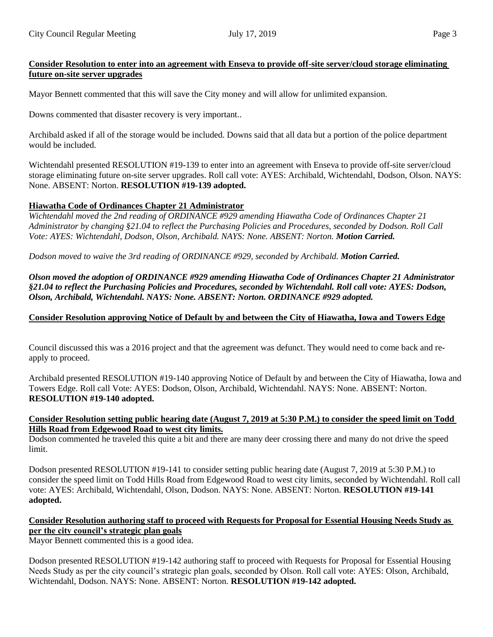# **Consider Resolution to enter into an agreement with Enseva to provide off-site server/cloud storage eliminating future on-site server upgrades**

Mayor Bennett commented that this will save the City money and will allow for unlimited expansion.

Downs commented that disaster recovery is very important..

Archibald asked if all of the storage would be included. Downs said that all data but a portion of the police department would be included.

Wichtendahl presented RESOLUTION #19-139 to enter into an agreement with Enseva to provide off-site server/cloud storage eliminating future on-site server upgrades. Roll call vote: AYES: Archibald, Wichtendahl, Dodson, Olson. NAYS: None. ABSENT: Norton. **RESOLUTION #19-139 adopted.**

#### **Hiawatha Code of Ordinances Chapter 21 Administrator**

*Wichtendahl moved the 2nd reading of ORDINANCE #929 amending Hiawatha Code of Ordinances Chapter 21 Administrator by changing §21.04 to reflect the Purchasing Policies and Procedures, seconded by Dodson. Roll Call Vote: AYES: Wichtendahl, Dodson, Olson, Archibald. NAYS: None. ABSENT: Norton. Motion Carried.*

*Dodson moved to waive the 3rd reading of ORDINANCE #929, seconded by Archibald. Motion Carried.*

*Olson moved the adoption of ORDINANCE #929 amending Hiawatha Code of Ordinances Chapter 21 Administrator §21.04 to reflect the Purchasing Policies and Procedures, seconded by Wichtendahl. Roll call vote: AYES: Dodson, Olson, Archibald, Wichtendahl. NAYS: None. ABSENT: Norton. ORDINANCE #929 adopted.*

# **Consider Resolution approving Notice of Default by and between the City of Hiawatha, Iowa and Towers Edge**

Council discussed this was a 2016 project and that the agreement was defunct. They would need to come back and reapply to proceed.

Archibald presented RESOLUTION #19-140 approving Notice of Default by and between the City of Hiawatha, Iowa and Towers Edge. Roll call Vote: AYES: Dodson, Olson, Archibald, Wichtendahl. NAYS: None. ABSENT: Norton. **RESOLUTION #19-140 adopted.**

#### **Consider Resolution setting public hearing date (August 7, 2019 at 5:30 P.M.) to consider the speed limit on Todd Hills Road from Edgewood Road to west city limits.**

Dodson commented he traveled this quite a bit and there are many deer crossing there and many do not drive the speed limit.

Dodson presented RESOLUTION #19-141 to consider setting public hearing date (August 7, 2019 at 5:30 P.M.) to consider the speed limit on Todd Hills Road from Edgewood Road to west city limits, seconded by Wichtendahl. Roll call vote: AYES: Archibald, Wichtendahl, Olson, Dodson. NAYS: None. ABSENT: Norton. **RESOLUTION #19-141 adopted.** 

# **Consider Resolution authoring staff to proceed with Requests for Proposal for Essential Housing Needs Study as per the city council's strategic plan goals**

Mayor Bennett commented this is a good idea.

Dodson presented RESOLUTION #19-142 authoring staff to proceed with Requests for Proposal for Essential Housing Needs Study as per the city council's strategic plan goals, seconded by Olson. Roll call vote: AYES: Olson, Archibald, Wichtendahl, Dodson. NAYS: None. ABSENT: Norton. **RESOLUTION #19-142 adopted.**